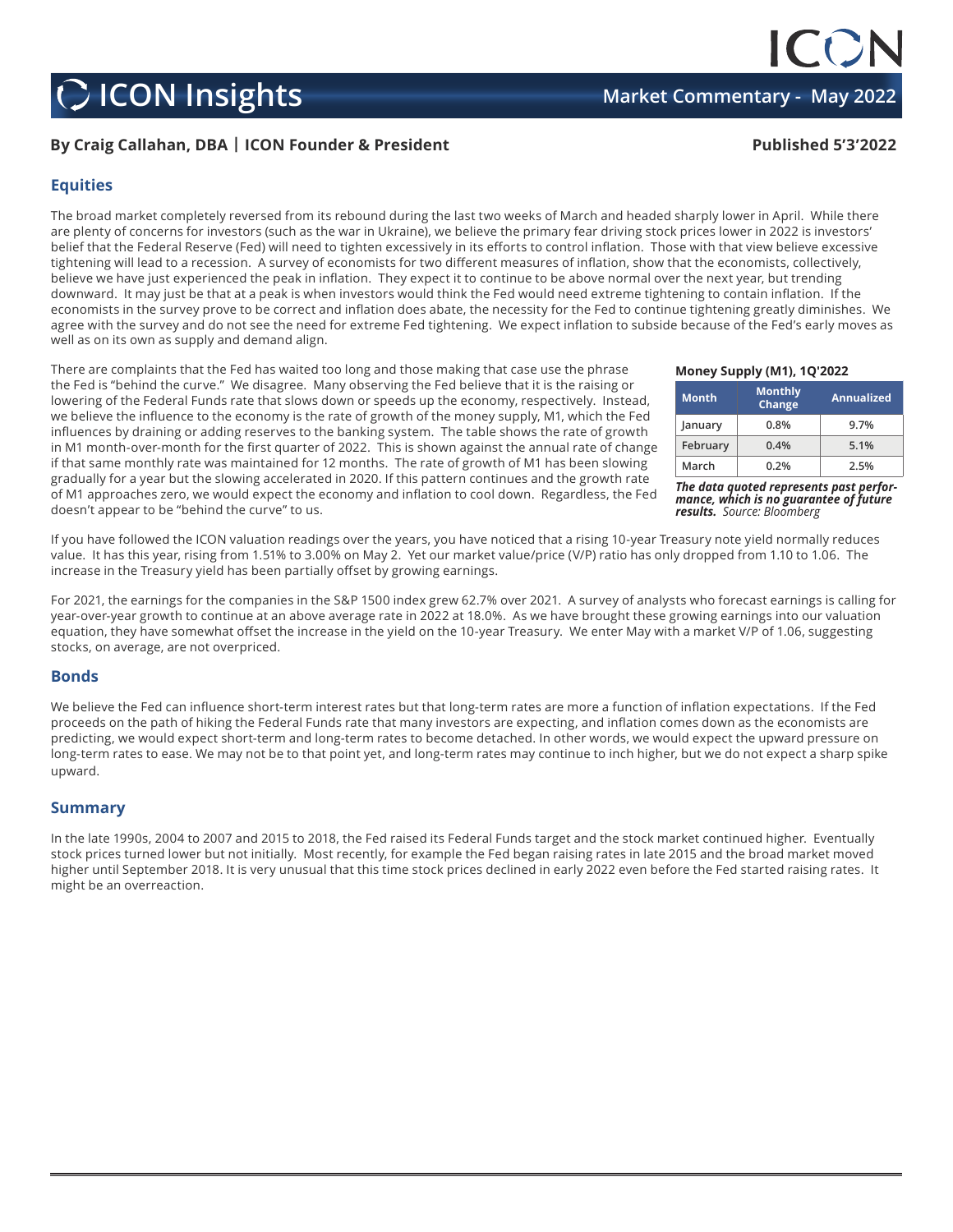## **C** ICON Insights **Market Commentary - May 2022**

## **By Craig Callahan, DBA | ICON Founder & President Published 5'3'2022**

#### **Equities**

The broad market completely reversed from its rebound during the last two weeks of March and headed sharply lower in April. While there are plenty of concerns for investors (such as the war in Ukraine), we believe the primary fear driving stock prices lower in 2022 is investors' belief that the Federal Reserve (Fed) will need to tighten excessively in its efforts to control inflation. Those with that view believe excessive tightening will lead to a recession. A survey of economists for two different measures of inflation, show that the economists, collectively, believe we have just experienced the peak in inflation. They expect it to continue to be above normal over the next year, but trending downward. It may just be that at a peak is when investors would think the Fed would need extreme tightening to contain inflation. If the economists in the survey prove to be correct and inflation does abate, the necessity for the Fed to continue tightening greatly diminishes. We agree with the survey and do not see the need for extreme Fed tightening. We expect inflation to subside because of the Fed's early moves as well as on its own as supply and demand align.

There are complaints that the Fed has waited too long and those making that case use the phrase the Fed is "behind the curve." We disagree. Many observing the Fed believe that it is the raising or lowering of the Federal Funds rate that slows down or speeds up the economy, respectively. Instead, we believe the influence to the economy is the rate of growth of the money supply, M1, which the Fed influences by draining or adding reserves to the banking system. The table shows the rate of growth in M1 month-over-month for the first quarter of 2022. This is shown against the annual rate of change if that same monthly rate was maintained for 12 months. The rate of growth of M1 has been slowing gradually for a year but the slowing accelerated in 2020. If this pattern continues and the growth rate of M1 approaches zero, we would expect the economy and inflation to cool down. Regardless, the Fed doesn't appear to be "behind the curve" to us.

If you have followed the ICON valuation readings over the years, you have noticed that a rising 10-year Treasury note yield normally reduces value. It has this year, rising from 1.51% to 3.00% on May 2. Yet our market value/price (V/P) ratio has only dropped from 1.10 to 1.06. The increase in the Treasury yield has been partially offset by growing earnings.

For 2021, the earnings for the companies in the S&P 1500 index grew 62.7% over 2021. A survey of analysts who forecast earnings is calling for year-over-year growth to continue at an above average rate in 2022 at 18.0%. As we have brought these growing earnings into our valuation equation, they have somewhat offset the increase in the yield on the 10-year Treasury. We enter May with a market V/P of 1.06, suggesting stocks, on average, are not overpriced.

#### **Bonds**

We believe the Fed can influence short-term interest rates but that long-term rates are more a function of inflation expectations. If the Fed proceeds on the path of hiking the Federal Funds rate that many investors are expecting, and inflation comes down as the economists are predicting, we would expect short-term and long-term rates to become detached. In other words, we would expect the upward pressure on long-term rates to ease. We may not be to that point yet, and long-term rates may continue to inch higher, but we do not expect a sharp spike upward.

### **Summary**

In the late 1990s, 2004 to 2007 and 2015 to 2018, the Fed raised its Federal Funds target and the stock market continued higher. Eventually stock prices turned lower but not initially. Most recently, for example the Fed began raising rates in late 2015 and the broad market moved higher until September 2018. It is very unusual that this time stock prices declined in early 2022 even before the Fed started raising rates. It might be an overreaction.

**Money Supply (M1), 1Q'2022**

| <b>Month</b> | <b>Monthly</b><br>Change | <b>Annualized</b> |
|--------------|--------------------------|-------------------|
| January      | 0.8%                     | 9.7%              |
| February     | 0.4%                     | 5.1%              |
| March        | 0.2%                     | 2.5%              |